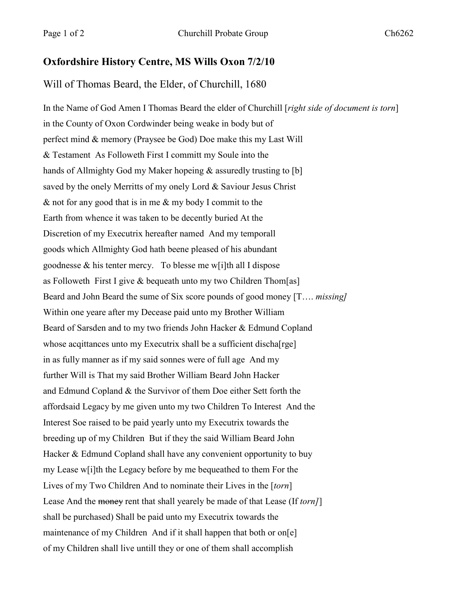## **Oxfordshire History Centre, MS Wills Oxon 7/2/10**

## Will of Thomas Beard, the Elder, of Churchill, 1680

In the Name of God Amen I Thomas Beard the elder of Churchill [*right side of document is torn*] in the County of Oxon Cordwinder being weake in body but of perfect mind & memory (Praysee be God) Doe make this my Last Will & Testament As Followeth First I committ my Soule into the hands of Allmighty God my Maker hopeing & assuredly trusting to [b] saved by the onely Merritts of my onely Lord & Saviour Jesus Christ & not for any good that is in me & my body I commit to the Earth from whence it was taken to be decently buried At the Discretion of my Executrix hereafter named And my temporall goods which Allmighty God hath beene pleased of his abundant goodnesse & his tenter mercy. To blesse me w[i]th all I dispose as Followeth First I give & bequeath unto my two Children Thom[as] Beard and John Beard the sume of Six score pounds of good money [T…. *missing]* Within one yeare after my Decease paid unto my Brother William Beard of Sarsden and to my two friends John Hacker & Edmund Copland whose acqittances unto my Executrix shall be a sufficient discha[rge] in as fully manner as if my said sonnes were of full age And my further Will is That my said Brother William Beard John Hacker and Edmund Copland & the Survivor of them Doe either Sett forth the affordsaid Legacy by me given unto my two Children To Interest And the Interest Soe raised to be paid yearly unto my Executrix towards the breeding up of my Children But if they the said William Beard John Hacker & Edmund Copland shall have any convenient opportunity to buy my Lease w[i]th the Legacy before by me bequeathed to them For the Lives of my Two Children And to nominate their Lives in the [*torn*] Lease And the money rent that shall yearely be made of that Lease (If *torn]*] shall be purchased) Shall be paid unto my Executrix towards the maintenance of my Children And if it shall happen that both or on[e] of my Children shall live untill they or one of them shall accomplish